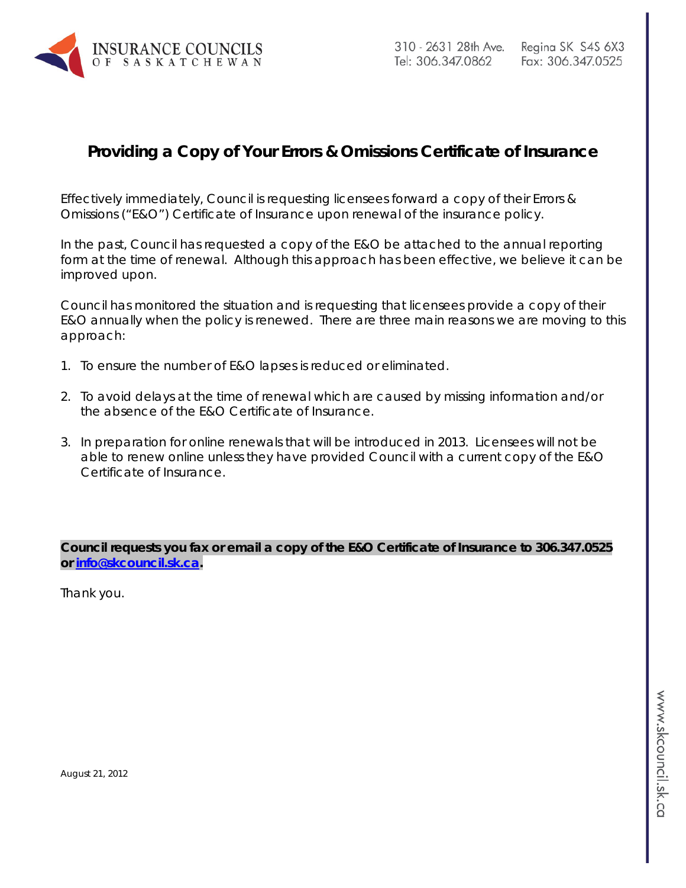

# **Providing a Copy of Your Errors & Omissions Certificate of Insurance**

Effectively immediately, Council is requesting licensees forward a copy of their Errors & Omissions ("E&O") Certificate of Insurance upon renewal of the insurance policy.

In the past, Council has requested a copy of the E&O be attached to the annual reporting form at the time of renewal. Although this approach has been effective, we believe it can be improved upon.

Council has monitored the situation and is requesting that licensees provide a copy of their E&O annually when the policy is renewed. There are three main reasons we are moving to this approach:

- 1. To ensure the number of E&O lapses is reduced or eliminated.
- 2. To avoid delays at the time of renewal which are caused by missing information and/or the absence of the E&O Certificate of Insurance.
- 3. In preparation for online renewals that will be introduced in 2013. Licensees will not be able to renew online unless they have provided Council with a current copy of the E&O Certificate of Insurance.

*Council requests you fax or email a copy of the E&O Certificate of Insurance to 306.347.0525 or [info@skcouncil.sk.ca.](mailto:info@skcouncil.sk.ca)*

Thank you.

August 21, 2012